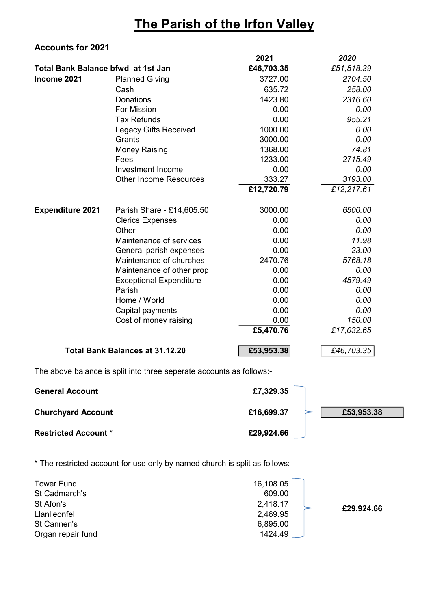## The Parish of the Irfon Valley

## Accounts for 2021

|                                    |                                        | 2021       | 2020       |
|------------------------------------|----------------------------------------|------------|------------|
| Total Bank Balance bfwd at 1st Jan |                                        | £46,703.35 | £51,518.39 |
| Income 2021                        | <b>Planned Giving</b>                  | 3727.00    | 2704.50    |
|                                    | Cash                                   | 635.72     | 258.00     |
|                                    | <b>Donations</b>                       | 1423.80    | 2316.60    |
|                                    | For Mission                            | 0.00       | 0.00       |
|                                    | <b>Tax Refunds</b>                     | 0.00       | 955.21     |
|                                    | <b>Legacy Gifts Received</b>           | 1000.00    | 0.00       |
|                                    | Grants                                 | 3000.00    | 0.00       |
|                                    | <b>Money Raising</b>                   | 1368.00    | 74.81      |
|                                    | Fees                                   | 1233.00    | 2715.49    |
|                                    | <b>Investment Income</b>               | 0.00       | 0.00       |
|                                    | <b>Other Income Resources</b>          | 333.27     | 3193.00    |
|                                    |                                        | £12,720.79 | £12,217.61 |
| <b>Expenditure 2021</b>            | Parish Share - £14,605.50              | 3000.00    | 6500.00    |
|                                    | <b>Clerics Expenses</b>                | 0.00       | 0.00       |
|                                    | Other                                  | 0.00       | 0.00       |
|                                    | Maintenance of services                | 0.00       | 11.98      |
|                                    | General parish expenses                | 0.00       | 23.00      |
|                                    | Maintenance of churches                | 2470.76    | 5768.18    |
|                                    | Maintenance of other prop              | 0.00       | 0.00       |
|                                    | <b>Exceptional Expenditure</b>         | 0.00       | 4579.49    |
|                                    | Parish                                 | 0.00       | 0.00       |
|                                    | Home / World                           | 0.00       | 0.00       |
|                                    | Capital payments                       | 0.00       | 0.00       |
|                                    | Cost of money raising                  | 0.00       | 150.00     |
|                                    |                                        | £5,470.76  | £17,032.65 |
|                                    | <b>Total Bank Balances at 31.12.20</b> | £53,953.38 | £46,703.35 |

The above balance is split into three seperate accounts as follows:-

| <b>General Account</b>      | £7,329.35                |
|-----------------------------|--------------------------|
| <b>Churchyard Account</b>   | £16,699.37<br>£53,953.38 |
| <b>Restricted Account *</b> | £29,924.66               |

\* The restricted account for use only by named church is split as follows:-

| <b>Tower Fund</b><br>St Cadmarch's | 16,108.05<br>609.00 |            |
|------------------------------------|---------------------|------------|
| St Afon's                          | 2,418.17            | £29,924.66 |
| Llanlleonfel                       | 2,469.95            |            |
| St Cannen's                        | 6,895.00            |            |
| Organ repair fund                  | 1424.49             |            |